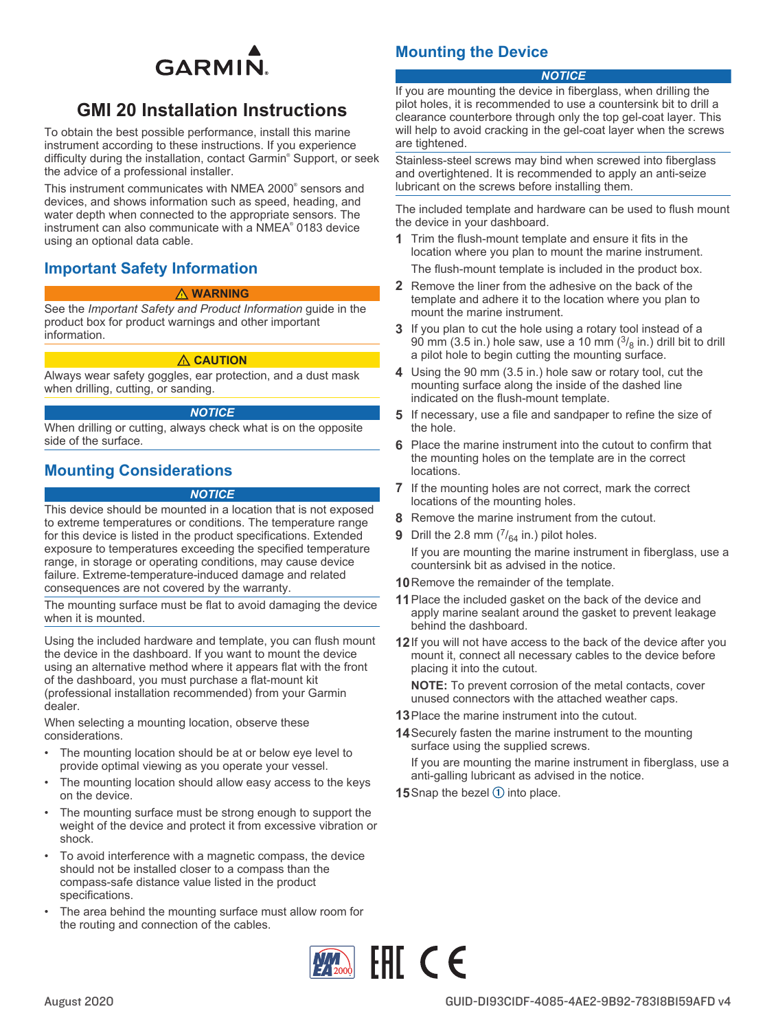

# **GMI 20 Installation Instructions**

To obtain the best possible performance, install this marine instrument according to these instructions. If you experience difficulty during the installation, contact Garmin® Support, or seek the advice of a professional installer.

This instrument communicates with NMEA 2000® sensors and devices, and shows information such as speed, heading, and water depth when connected to the appropriate sensors. The instrument can also communicate with a NMEA® 0183 device using an optional data cable.

## **Important Safety Information**

### **WARNING**

See the *Important Safety and Product Information* guide in the product box for product warnings and other important information.

### **CAUTION**

Always wear safety goggles, ear protection, and a dust mask when drilling, cutting, or sanding.

### *NOTICE*

When drilling or cutting, always check what is on the opposite side of the surface.

## **Mounting Considerations**

#### *NOTICE*

This device should be mounted in a location that is not exposed to extreme temperatures or conditions. The temperature range for this device is listed in the product specifications. Extended exposure to temperatures exceeding the specified temperature range, in storage or operating conditions, may cause device failure. Extreme-temperature-induced damage and related consequences are not covered by the warranty.

The mounting surface must be flat to avoid damaging the device when it is mounted.

Using the included hardware and template, you can flush mount the device in the dashboard. If you want to mount the device using an alternative method where it appears flat with the front of the dashboard, you must purchase a flat-mount kit (professional installation recommended) from your Garmin dealer.

When selecting a mounting location, observe these considerations.

- The mounting location should be at or below eye level to provide optimal viewing as you operate your vessel.
- The mounting location should allow easy access to the keys on the device.
- The mounting surface must be strong enough to support the weight of the device and protect it from excessive vibration or shock.
- To avoid interference with a magnetic compass, the device should not be installed closer to a compass than the compass-safe distance value listed in the product specifications.
- The area behind the mounting surface must allow room for the routing and connection of the cables.

# **Mounting the Device**

## *NOTICE*

If you are mounting the device in fiberglass, when drilling the pilot holes, it is recommended to use a countersink bit to drill a clearance counterbore through only the top gel-coat layer. This will help to avoid cracking in the gel-coat layer when the screws are tightened.

Stainless-steel screws may bind when screwed into fiberglass and overtightened. It is recommended to apply an anti-seize lubricant on the screws before installing them.

The included template and hardware can be used to flush mount the device in your dashboard.

**1** Trim the flush-mount template and ensure it fits in the location where you plan to mount the marine instrument.

The flush-mount template is included in the product box.

- **2** Remove the liner from the adhesive on the back of the template and adhere it to the location where you plan to mount the marine instrument.
- **3** If you plan to cut the hole using a rotary tool instead of a 90 mm (3.5 in.) hole saw, use a 10 mm  $(3/8)$  in.) drill bit to drill a pilot hole to begin cutting the mounting surface.
- **4** Using the 90 mm (3.5 in.) hole saw or rotary tool, cut the mounting surface along the inside of the dashed line indicated on the flush-mount template.
- **5** If necessary, use a file and sandpaper to refine the size of the hole.
- **6** Place the marine instrument into the cutout to confirm that the mounting holes on the template are in the correct locations.
- **7** If the mounting holes are not correct, mark the correct locations of the mounting holes.
- **8** Remove the marine instrument from the cutout.
- **9** Drill the 2.8 mm  $\binom{7}{64}$  in.) pilot holes. If you are mounting the marine instrument in fiberglass, use a countersink bit as advised in the notice.
- **10**Remove the remainder of the template.
- **11**Place the included gasket on the back of the device and apply marine sealant around the gasket to prevent leakage behind the dashboard.
- **12**If you will not have access to the back of the device after you mount it, connect all necessary cables to the device before placing it into the cutout.

**NOTE:** To prevent corrosion of the metal contacts, cover unused connectors with the attached weather caps.

- **13**Place the marine instrument into the cutout.
- **14**Securely fasten the marine instrument to the mounting surface using the supplied screws.

If you are mounting the marine instrument in fiberglass, use a anti-galling lubricant as advised in the notice.

**15** Snap the bezel  $\bigcirc$  into place.

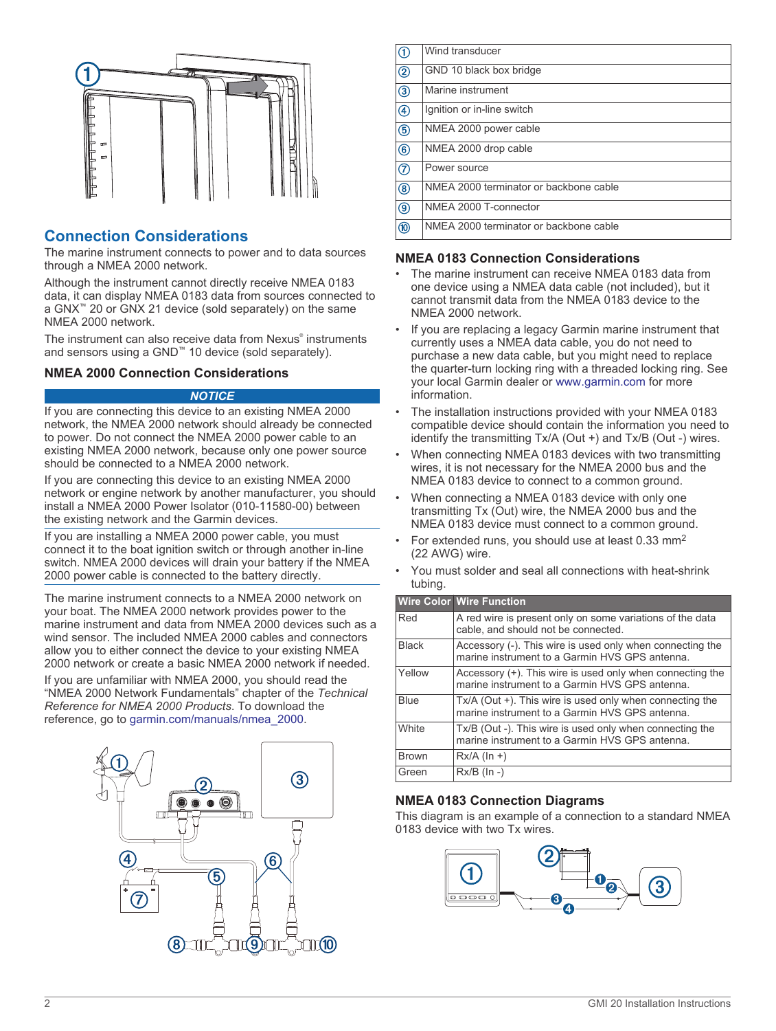

# **Connection Considerations**

The marine instrument connects to power and to data sources through a NMEA 2000 network.

Although the instrument cannot directly receive NMEA 0183 data, it can display NMEA 0183 data from sources connected to a GNX™ 20 or GNX 21 device (sold separately) on the same NMEA 2000 network.

The instrument can also receive data from Nexus® instruments and sensors using a GND™ 10 device (sold separately).

## **NMEA 2000 Connection Considerations**

### *NOTICE*

If you are connecting this device to an existing NMEA 2000 network, the NMEA 2000 network should already be connected to power. Do not connect the NMEA 2000 power cable to an existing NMEA 2000 network, because only one power source should be connected to a NMEA 2000 network.

If you are connecting this device to an existing NMEA 2000 network or engine network by another manufacturer, you should install a NMEA 2000 Power Isolator (010-11580-00) between the existing network and the Garmin devices.

If you are installing a NMEA 2000 power cable, you must connect it to the boat ignition switch or through another in-line switch. NMEA 2000 devices will drain your battery if the NMEA 2000 power cable is connected to the battery directly.

The marine instrument connects to a NMEA 2000 network on your boat. The NMEA 2000 network provides power to the marine instrument and data from NMEA 2000 devices such as a wind sensor. The included NMEA 2000 cables and connectors allow you to either connect the device to your existing NMEA 2000 network or create a basic NMEA 2000 network if needed.

If you are unfamiliar with NMEA 2000, you should read the "NMEA 2000 Network Fundamentals" chapter of the *Technical Reference for NMEA 2000 Products*. To download the reference, go to [garmin.com/manuals/nmea\\_2000](http://www.garmin.com/manuals/nmea_2000).



 $\bigcirc$ Wind transducer GND 10 black box bridge  $(2)$  $\circled{3}$ Marine instrument  $\left( \widehat{4}\right)$ Ignition or in-line switch  $\overline{5}$ NMEA 2000 power cable  $\overline{\circledcirc}$ NMEA 2000 drop cable  $\circledR$ Power source  $\overline{\circledcirc}$ NMEA 2000 terminator or backbone cable NMEA 2000 T-connector  $\overline{(\overline{9})}$ NMEA 2000 terminator or backbone cable  $\overline{0}$ 

## **NMEA 0183 Connection Considerations**

- The marine instrument can receive NMEA 0183 data from one device using a NMEA data cable (not included), but it cannot transmit data from the NMEA 0183 device to the NMEA 2000 network.
- If you are replacing a legacy Garmin marine instrument that currently uses a NMEA data cable, you do not need to purchase a new data cable, but you might need to replace the quarter-turn locking ring with a threaded locking ring. See your local Garmin dealer or [www.garmin.com](http://www.garmin.com) for more information.
- The installation instructions provided with your NMEA 0183 compatible device should contain the information you need to identify the transmitting Tx/A (Out +) and Tx/B (Out -) wires.
- When connecting NMEA 0183 devices with two transmitting wires, it is not necessary for the NMEA 2000 bus and the NMEA 0183 device to connect to a common ground.
- When connecting a NMEA 0183 device with only one transmitting Tx (Out) wire, the NMEA 2000 bus and the NMEA 0183 device must connect to a common ground.
- For extended runs, you should use at least 0.33 mm<sup>2</sup> (22 AWG) wire.
- You must solder and seal all connections with heat-shrink tubing.

|              | <b>Wire Color Wire Function</b>                                                                             |
|--------------|-------------------------------------------------------------------------------------------------------------|
| Red          | A red wire is present only on some variations of the data<br>cable, and should not be connected.            |
| <b>Black</b> | Accessory (-). This wire is used only when connecting the<br>marine instrument to a Garmin HVS GPS antenna  |
| Yellow       | Accessory (+). This wire is used only when connecting the<br>marine instrument to a Garmin HVS GPS antenna. |
| <b>Blue</b>  | Tx/A (Out +). This wire is used only when connecting the<br>marine instrument to a Garmin HVS GPS antenna.  |
| <b>White</b> | Tx/B (Out -). This wire is used only when connecting the<br>marine instrument to a Garmin HVS GPS antenna.  |
| <b>Brown</b> | $Rx/A$ (ln +)                                                                                               |
| Green        | $Rx/B$ ( $\ln -$ )                                                                                          |

## **NMEA 0183 Connection Diagrams**

This diagram is an example of a connection to a standard NMEA 0183 device with two Tx wires.

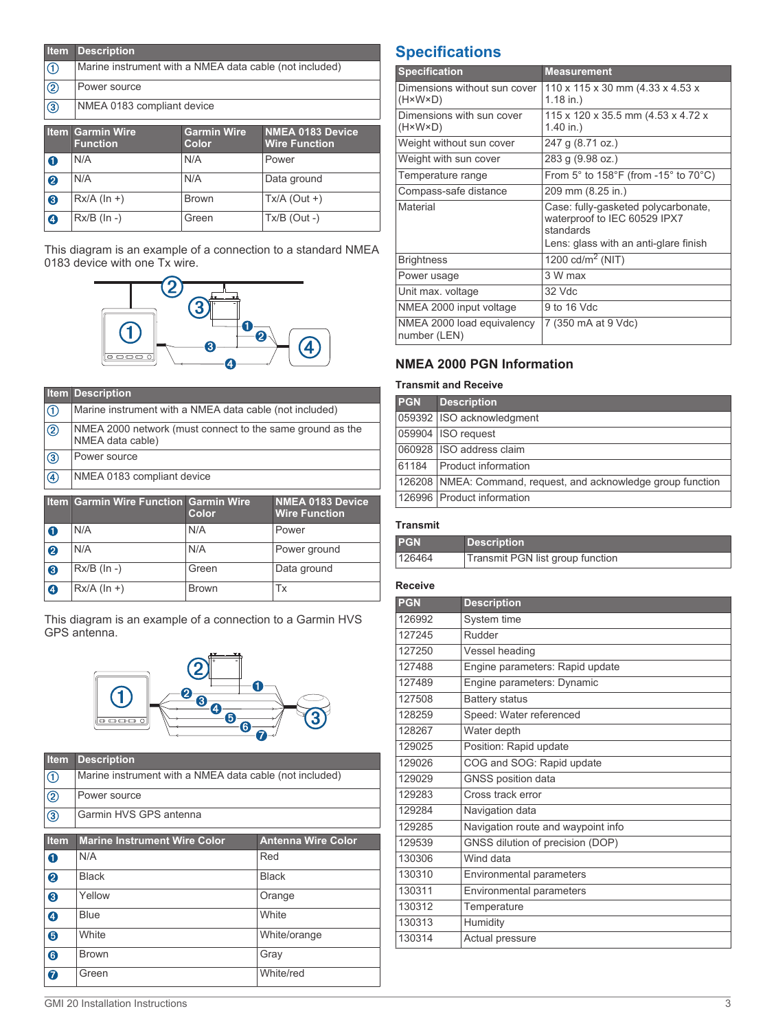| <b>Item</b>               | <b>Description</b>                                      |                    |                         |
|---------------------------|---------------------------------------------------------|--------------------|-------------------------|
| $^\text{\textregistered}$ | Marine instrument with a NMEA data cable (not included) |                    |                         |
| $^{\circledR}$            | Power source                                            |                    |                         |
| $\circledS$               | NMEA 0183 compliant device                              |                    |                         |
|                           | <b>Item Garmin Wire</b>                                 | <b>Garmin Wire</b> | <b>NMEA 0183 Device</b> |
|                           | <b>Function</b>                                         | Color              | <b>Wire Function</b>    |
| e                         | N/A                                                     | N/A                | $D_{NMP}$               |

|                  | гинскоп            | vuur         |                |
|------------------|--------------------|--------------|----------------|
| 0                | N/A                | N/A          | Power          |
| ❷                | N/A                | N/A          | Data ground    |
| ❸                | $Rx/A$ (ln +)      | <b>Brown</b> | Tx/A (Out +)   |
| $\boldsymbol{Q}$ | $Rx/B$ ( $\ln -$ ) | Green        | $Tx/B$ (Out -) |

This diagram is an example of a connection to a standard NMEA 0183 device with one Tx wire.



|                | <b>Item Description</b>                                                       |       |                                                 |
|----------------|-------------------------------------------------------------------------------|-------|-------------------------------------------------|
| $^{\circledR}$ | Marine instrument with a NMEA data cable (not included)                       |       |                                                 |
| $^{\circledR}$ | NMEA 2000 network (must connect to the same ground as the<br>NMEA data cable) |       |                                                 |
| $\circledS$    | Power source                                                                  |       |                                                 |
| $^{\circledR}$ | NMEA 0183 compliant device                                                    |       |                                                 |
|                |                                                                               |       |                                                 |
|                | <b>Item Garmin Wire Function Garmin Wire</b>                                  | Color | <b>NMEA 0183 Device</b><br><b>Wire Function</b> |
| $\bullet$      | N/A                                                                           | N/A   | Power                                           |
| 2              | N/A                                                                           | N/A   | Power ground                                    |
| ❸              | $Rx/B$ ( $\ln -$ )                                                            | Green | Data ground                                     |

This diagram is an example of a connection to a Garmin HVS GPS antenna.



| <b>Item</b>              | <b>Description</b>                                      |
|--------------------------|---------------------------------------------------------|
| $\sqrt{1}$               | Marine instrument with a NMEA data cable (not included) |
| ②                        | Power source                                            |
| $\overline{\mathcal{E}}$ | Garmin HVS GPS antenna                                  |

| <b>Item</b> | <b>Marine Instrument Wire Color</b> | <b>Antenna Wire Color</b> |
|-------------|-------------------------------------|---------------------------|
| 0           | N/A                                 | Red                       |
| 2           | <b>Black</b>                        | <b>Black</b>              |
| ❸           | Yellow                              | Orange                    |
| $\bullet$   | <b>Blue</b>                         | White                     |
| ❺           | White                               | White/orange              |
| $\bullet$   | <b>Brown</b>                        | Gray                      |
| $\bullet$   | Green                               | White/red                 |

# **Specifications**

| <b>Specification</b>                                    | <b>Measurement</b>                                                                                                        |
|---------------------------------------------------------|---------------------------------------------------------------------------------------------------------------------------|
| Dimensions without sun cover<br>$(H \times W \times D)$ | 110 x 115 x 30 mm (4.33 x 4.53 x<br>$1.18$ in.)                                                                           |
| Dimensions with sun cover<br>$(H \times W \times D)$    | 115 x 120 x 35.5 mm (4.53 x 4.72 x<br>$1.40$ in.)                                                                         |
| Weight without sun cover                                | 247 g (8.71 oz.)                                                                                                          |
| Weight with sun cover                                   | 283 g (9.98 oz.)                                                                                                          |
| Temperature range                                       | From $5^{\circ}$ to 158°F (from -15° to 70°C)                                                                             |
| Compass-safe distance                                   | 209 mm (8.25 in.)                                                                                                         |
| Material                                                | Case: fully-gasketed polycarbonate,<br>waterproof to IEC 60529 IPX7<br>standards<br>Lens: glass with an anti-glare finish |
| <b>Brightness</b>                                       | 1200 cd/m <sup>2</sup> (NIT)                                                                                              |
| Power usage                                             | 3 W max                                                                                                                   |
| Unit max. voltage                                       | 32 Vdc                                                                                                                    |
| NMEA 2000 input voltage                                 | 9 to 16 Vdc                                                                                                               |
| NMEA 2000 load equivalency<br>number (LEN)              | 7 (350 mA at 9 Vdc)                                                                                                       |

# **NMEA 2000 PGN Information**

## **Transmit and Receive**

| <b>PGN</b> | <b>Description</b>                                            |
|------------|---------------------------------------------------------------|
|            | 059392 ISO acknowledgment                                     |
|            | 059904 ISO request                                            |
|            | 060928 ISO address claim                                      |
|            | 61184   Product information                                   |
|            | 126208 NMEA: Command, request, and acknowledge group function |
|            | 126996 Product information                                    |

#### **Transmit**

| <b>PGN</b> | <b>Description</b>               |
|------------|----------------------------------|
| 126464     | Transmit PGN list group function |

### **Receive**

| <b>PGN</b> | <b>Description</b>                 |
|------------|------------------------------------|
| 126992     | System time                        |
| 127245     | Rudder                             |
| 127250     | Vessel heading                     |
| 127488     | Engine parameters: Rapid update    |
| 127489     | Engine parameters: Dynamic         |
| 127508     | <b>Battery status</b>              |
| 128259     | Speed: Water referenced            |
| 128267     | Water depth                        |
| 129025     | Position: Rapid update             |
| 129026     | COG and SOG: Rapid update          |
| 129029     | GNSS position data                 |
| 129283     | Cross track error                  |
| 129284     | Navigation data                    |
| 129285     | Navigation route and waypoint info |
| 129539     | GNSS dilution of precision (DOP)   |
| 130306     | Wind data                          |
| 130310     | Environmental parameters           |
| 130311     | Environmental parameters           |
| 130312     | Temperature                        |
| 130313     | Humidity                           |
| 130314     | Actual pressure                    |
|            |                                    |